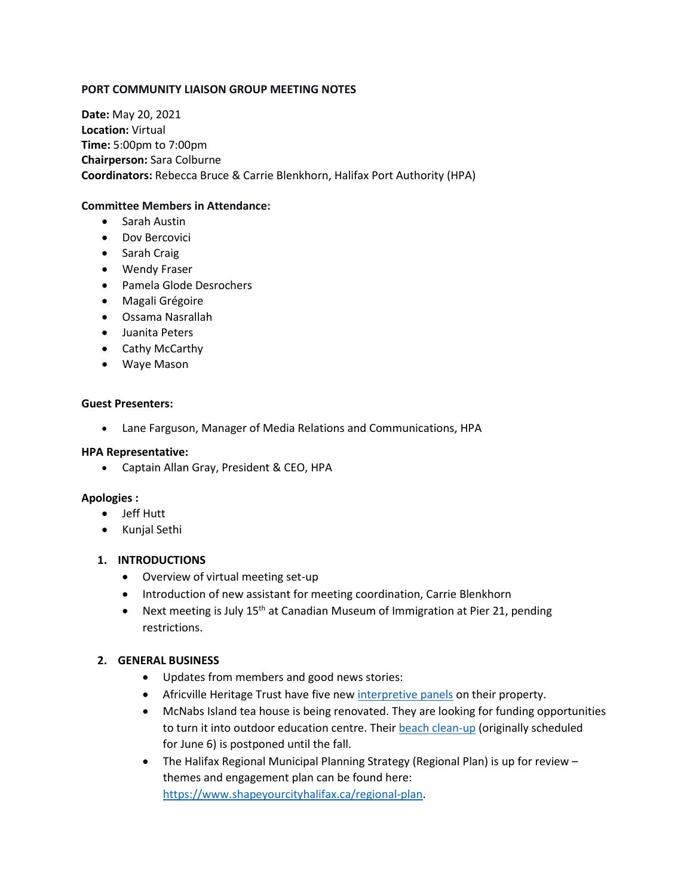## **PORT COMMUNITY LIAISON GROUP MEETING NOTES**

**Date:** May 20, 2021 **Location:** Virtual **Time:** 5:00pm to 7:00pm **Chairperson:** Sara Colburne **Coordinators:** Rebecca Bruce & Carrie Blenkhorn, Halifax Port Authority (HPA)

#### **Committee Members in Attendance:**

- Sarah Austin
- Dov Bercovici
- Sarah Craig
- Wendy Fraser
- Pamela Glode Desrochers
- Magali Grégoire
- Ossama Nasrallah
- Juanita Peters
- Cathy McCarthy
- Waye Mason

#### **Guest Presenters:**

• Lane Farguson, Manager of Media Relations and Communications, HPA

#### **HPA Representative:**

• Captain Allan Gray, President & CEO, HPA

## **Apologies :**

- Jeff Hutt
- Kunjal Sethi

## **1. INTRODUCTIONS**

- Overview of virtual meeting set-up
- Introduction of new assistant for meeting coordination, Carrie Blenkhorn
- Next meeting is July  $15<sup>th</sup>$  at Canadian Museum of Immigration at Pier 21, pending restrictions.

## **2. GENERAL BUSINESS**

- Updates from members and good news stories:
- Africville Heritage Trust have five new [interpretive panels](https://africvillemuseum.org/uncategorized/new-interpretive-panels/) on their property.
- McNabs Island tea house is being renovated. They are looking for funding opportunities to turn it into outdoor education centre. Their beach [clean-up](https://mcnabsisland.ca/events/lawlor-clean-up) (originally scheduled for June 6) is postponed until the fall.
- The Halifax Regional Municipal Planning Strategy (Regional Plan) is up for review themes and engagement plan can be found here: [https://www.shapeyourcityhalifax.ca/regional-plan.](https://www.shapeyourcityhalifax.ca/regional-plan)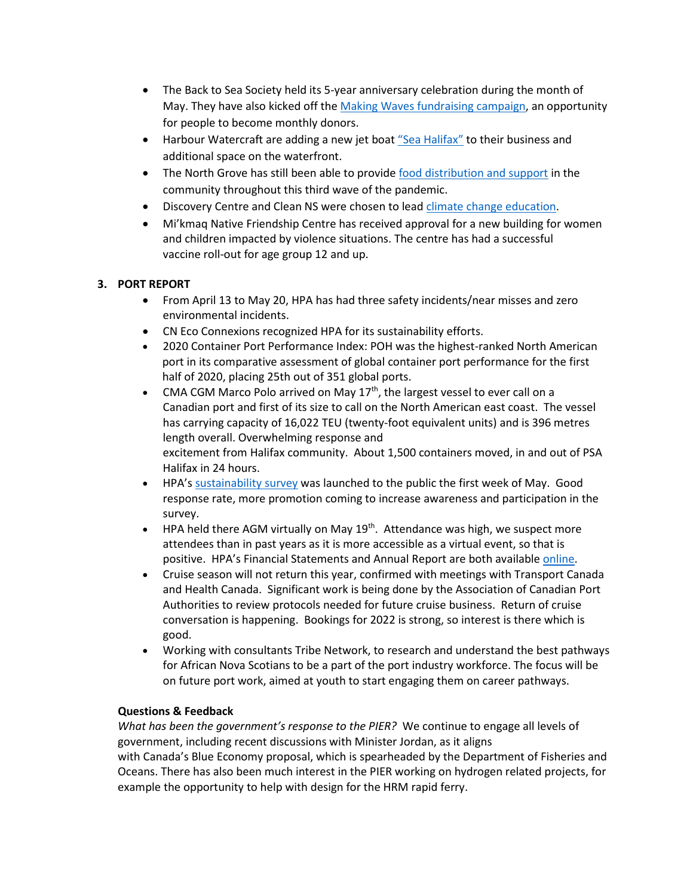- The Back to Sea Society held its 5-year anniversary celebration during the month of May. They have also kicked off the [Making Waves fundraising campaign,](http://www.backtothesea.org/making-waves.html) an opportunity for people to become monthly donors.
- Harbour Watercraft are adding a new jet boat ["Sea Halifax"](https://www.seahfx.com/) to their business and additional space on the waterfront.
- The North Grove has still been able to provide [food distribution and support](https://www.thenorthgrove.ca/calendar) in the community throughout this third wave of the pandemic.
- Discovery Centre and Clean NS were chosen to lea[d climate change education.](https://thediscoverycentre.ca/wp-content/uploads/2021/04/Discovery-Centre-Leads-6M-National-Climate-Change-Project.pdf)
- Mi'kmaq Native Friendship Centre has received approval for a new building for women and children impacted by violence situations. The centre has had a successful vaccine roll-out for age group 12 and up.

# **3. PORT REPORT**

- From April 13 to May 20, HPA has had three safety incidents/near misses and zero environmental incidents.
- CN Eco Connexions recognized HPA for its sustainability efforts.
- 2020 Container Port Performance Index: POH was the highest-ranked North American port in its comparative assessment of global container port performance for the first half of 2020, placing 25th out of 351 global ports.
- CMA CGM Marco Polo arrived on May  $17<sup>th</sup>$ , the largest vessel to ever call on a Canadian port and first of its size to call on the North American east coast. The vessel has carrying capacity of 16,022 TEU (twenty-foot equivalent units) and is 396 metres length overall. Overwhelming response and excitement from Halifax community. About 1,500 containers moved, in and out of PSA Halifax in 24 hours.
- HPA'[s sustainability survey](https://www.portofhalifax.ca/policies-and-planning/sustainability/sustainability-planning/) was launched to the public the first week of May. Good response rate, more promotion coming to increase awareness and participation in the survey.
- HPA held there AGM virtually on May  $19<sup>th</sup>$ . Attendance was high, we suspect more attendees than in past years as it is more accessible as a virtual event, so that is positive. HPA's Financial Statements and Annual Report are both available [online.](https://www.portofhalifax.ca/about-us/port-authority/reports/)
- Cruise season will not return this year, confirmed with meetings with Transport Canada and Health Canada. Significant work is being done by the Association of Canadian Port Authorities to review protocols needed for future cruise business. Return of cruise conversation is happening. Bookings for 2022 is strong, so interest is there which is good.
- Working with consultants Tribe Network, to research and understand the best pathways for African Nova Scotians to be a part of the port industry workforce. The focus will be on future port work, aimed at youth to start engaging them on career pathways.

## **Questions & Feedback**

*What has been the government's response to the PIER?* We continue to engage all levels of government, including recent discussions with Minister Jordan, as it aligns with Canada's Blue Economy proposal, which is spearheaded by the Department of Fisheries and Oceans. There has also been much interest in the PIER working on hydrogen related projects, for example the opportunity to help with design for the HRM rapid ferry.